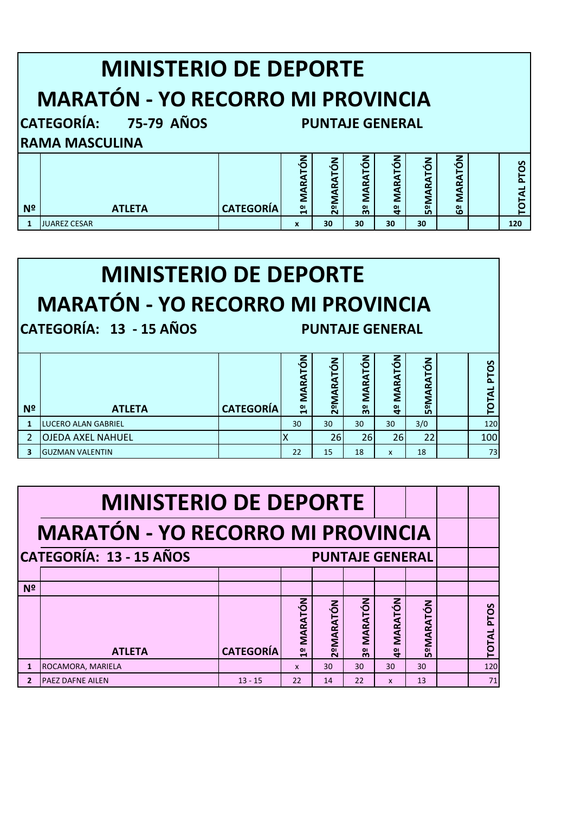|                                          | <b>MINISTERIO DE DEPORTE</b>                    |                  |                                 |                  |                                  |                                 |                  |               |  |            |  |
|------------------------------------------|-------------------------------------------------|------------------|---------------------------------|------------------|----------------------------------|---------------------------------|------------------|---------------|--|------------|--|
| <b>MARATÓN - YO RECORRO MI PROVINCIA</b> |                                                 |                  |                                 |                  |                                  |                                 |                  |               |  |            |  |
|                                          | CATEGORÍA: 75-79 AÑOS<br><b>PUNTAJE GENERAL</b> |                  |                                 |                  |                                  |                                 |                  |               |  |            |  |
|                                          | <b>RAMA MASCULINA</b>                           |                  |                                 |                  |                                  |                                 |                  |               |  |            |  |
| N <sup>2</sup>                           | <b>ATLETA</b>                                   | <b>CATEGORÍA</b> | <b>MARATÓN</b><br>$\frac{1}{2}$ | <b>2ºMARATÓN</b> | <b>MARATÓN</b><br>3 <sup>o</sup> | <b>MARATÓN</b><br>$\frac{1}{4}$ | <b>SºMARATÓN</b> | MARATÓN<br>ဗီ |  | TOTAL PTOS |  |
|                                          |                                                 |                  |                                 |                  |                                  |                                 |                  |               |  |            |  |
|                                          | <b>JUAREZ CESAR</b>                             |                  | $\mathbf x$                     | 30               | 30                               | 30                              | 30               |               |  | 120        |  |

## **MINISTERIO DE DEPORTE MARATÓN - YO RECORRO MI PROVINCIA**

**CATEGORÍA: 13 - 15 AÑOS PUNTAJE GENERAL**

|                |                          |                  | $\delta$<br>RAT<br>ξ | $\epsilon$<br>⊢<br>a<br>≃<br>⋖<br>Σ | ιó<br>Ē<br>α<br>œ<br>ξ | $\epsilon$<br>a<br>œ<br>⋖<br>Σ | Ğ<br>≃<br>⋖<br>Σ | S<br>O<br>'n. |
|----------------|--------------------------|------------------|----------------------|-------------------------------------|------------------------|--------------------------------|------------------|---------------|
| N <sup>o</sup> | <b>ATLETA</b>            | <b>CATEGORÍA</b> | $\frac{1}{2}$        | $\bullet$<br>$\sim$                 | 3º                     | $\frac{1}{4}$                  | $\overline{5}$   |               |
|                | LUCERO ALAN GABRIEL      |                  | 30                   | 30                                  | 30                     | 30 <sup>°</sup>                | 3/0              | 120           |
|                | <b>OJEDA AXEL NAHUEL</b> |                  |                      | 26                                  | 26                     | 26                             | 22               | 100           |
|                | <b>GUZMAN VALENTIN</b>   |                  | 22                   | 15                                  | 18                     | X                              | 18               | 73            |

| <b>MINISTERIO DE DEPORTE</b>                      |                          |                  |              |           |                                      |                                 |                       |  |                   |  |
|---------------------------------------------------|--------------------------|------------------|--------------|-----------|--------------------------------------|---------------------------------|-----------------------|--|-------------------|--|
| <b>MARATÓN - YO RECORRO MI PROVINCIA</b>          |                          |                  |              |           |                                      |                                 |                       |  |                   |  |
| CATEGORÍA: 13 - 15 AÑOS<br><b>PUNTAJE GENERAL</b> |                          |                  |              |           |                                      |                                 |                       |  |                   |  |
|                                                   |                          |                  |              |           |                                      |                                 |                       |  |                   |  |
| N <sup>2</sup>                                    |                          |                  |              |           |                                      |                                 |                       |  |                   |  |
|                                                   | <b>ATLETA</b>            | <b>CATEGORÍA</b> | 1º MARATÓN   | 2ºMARATÓN | MARATÓN<br>$\bullet$<br>$\mathbf{m}$ | <b>MARATÓN</b><br>$\frac{1}{4}$ | PMARATÓN<br><b>LO</b> |  | <b>TOTAL PTOS</b> |  |
| $\mathbf{1}$                                      | ROCAMORA, MARIELA        |                  | $\mathbf{x}$ | 30        | 30                                   | 30                              | 30                    |  | 120               |  |
| $\mathbf{2}$                                      | <b>IPAEZ DAFNE AILEN</b> | $13 - 15$        | 22           | 14        | 22                                   | X                               | 13                    |  | 71                |  |